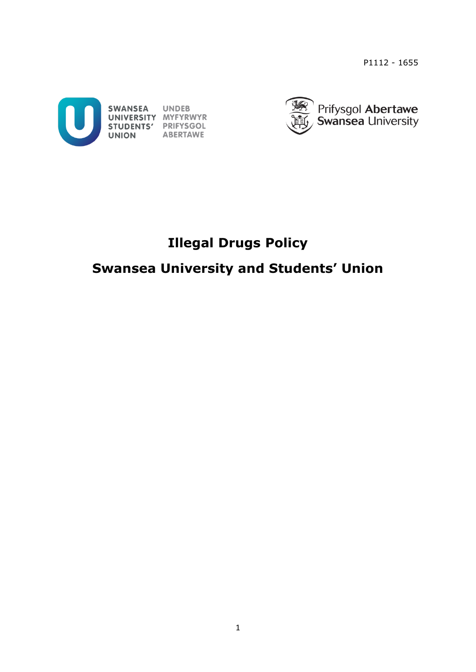P1112 - 1655





# **Illegal Drugs Policy**

# **Swansea University and Students' Union**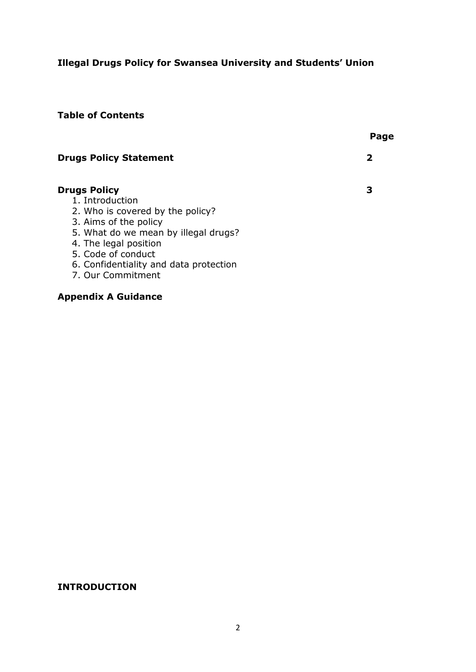## **Illegal Drugs Policy for Swansea University and Students' Union**

### **Table of Contents**

|                                                                                                                                                                                                                                                           | Page        |
|-----------------------------------------------------------------------------------------------------------------------------------------------------------------------------------------------------------------------------------------------------------|-------------|
| <b>Drugs Policy Statement</b>                                                                                                                                                                                                                             | $\mathbf 2$ |
| <b>Drugs Policy</b><br>1. Introduction<br>2. Who is covered by the policy?<br>3. Aims of the policy<br>5. What do we mean by illegal drugs?<br>4. The legal position<br>5. Code of conduct<br>6. Confidentiality and data protection<br>7. Our Commitment | З           |
| <b>Appendix A Guidance</b>                                                                                                                                                                                                                                |             |

### **INTRODUCTION**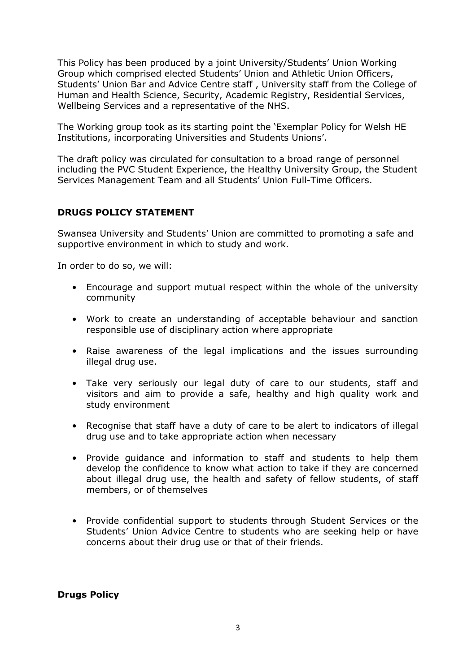This Policy has been produced by a joint University/Students' Union Working Group which comprised elected Students' Union and Athletic Union Officers, Students' Union Bar and Advice Centre staff , University staff from the College of Human and Health Science, Security, Academic Registry, Residential Services, Wellbeing Services and a representative of the NHS.

The Working group took as its starting point the 'Exemplar Policy for Welsh HE Institutions, incorporating Universities and Students Unions'.

The draft policy was circulated for consultation to a broad range of personnel including the PVC Student Experience, the Healthy University Group, the Student Services Management Team and all Students' Union Full-Time Officers.

#### **DRUGS POLICY STATEMENT**

Swansea University and Students' Union are committed to promoting a safe and supportive environment in which to study and work.

In order to do so, we will:

- Encourage and support mutual respect within the whole of the university community
- Work to create an understanding of acceptable behaviour and sanction responsible use of disciplinary action where appropriate
- Raise awareness of the legal implications and the issues surrounding illegal drug use.
- Take very seriously our legal duty of care to our students, staff and visitors and aim to provide a safe, healthy and high quality work and study environment
- Recognise that staff have a duty of care to be alert to indicators of illegal drug use and to take appropriate action when necessary
- Provide guidance and information to staff and students to help them develop the confidence to know what action to take if they are concerned about illegal drug use, the health and safety of fellow students, of staff members, or of themselves
- Provide confidential support to students through Student Services or the Students' Union Advice Centre to students who are seeking help or have concerns about their drug use or that of their friends.

**Drugs Policy**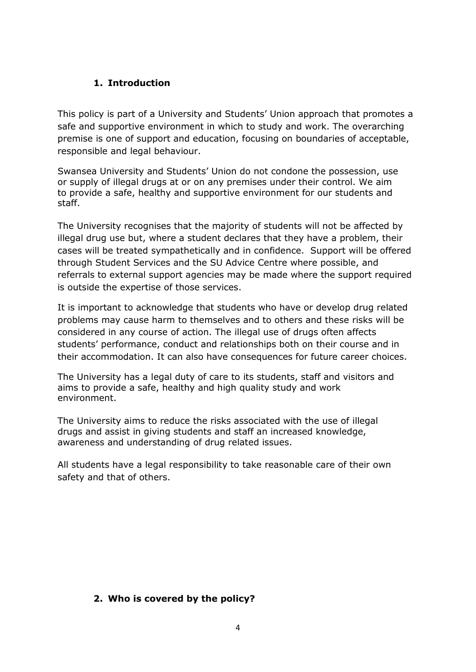### **1. Introduction**

This policy is part of a University and Students' Union approach that promotes a safe and supportive environment in which to study and work. The overarching premise is one of support and education, focusing on boundaries of acceptable, responsible and legal behaviour.

Swansea University and Students' Union do not condone the possession, use or supply of illegal drugs at or on any premises under their control. We aim to provide a safe, healthy and supportive environment for our students and staff.

The University recognises that the majority of students will not be affected by illegal drug use but, where a student declares that they have a problem, their cases will be treated sympathetically and in confidence. Support will be offered through Student Services and the SU Advice Centre where possible, and referrals to external support agencies may be made where the support required is outside the expertise of those services.

It is important to acknowledge that students who have or develop drug related problems may cause harm to themselves and to others and these risks will be considered in any course of action. The illegal use of drugs often affects students' performance, conduct and relationships both on their course and in their accommodation. It can also have consequences for future career choices.

The University has a legal duty of care to its students, staff and visitors and aims to provide a safe, healthy and high quality study and work environment.

The University aims to reduce the risks associated with the use of illegal drugs and assist in giving students and staff an increased knowledge, awareness and understanding of drug related issues.

All students have a legal responsibility to take reasonable care of their own safety and that of others.

### **2. Who is covered by the policy?**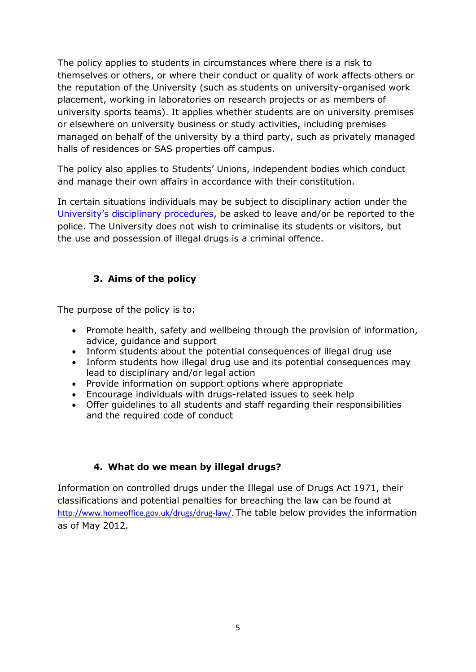The policy applies to students in circumstances where there is a risk to themselves or others, or where their conduct or quality of work affects others or the reputation of the University (such as students on university-organised work placement, working in laboratories on research projects or as members of university sports teams). It applies whether students are on university premises or elsewhere on university business or study activities, including premises managed on behalf of the university by a third party, such as privately managed halls of residences or SAS properties off campus.

The policy also applies to Students' Unions, independent bodies which conduct and manage their own affairs in accordance with their constitution.

In certain situations individuals may be subject to disciplinary action under the University's di[sciplinary procedures,](http://www.swan.ac.uk/registry/academicguide/conductandcomplaints/disciplinaryprocedures/) be asked to leave and/or be reported to the police. The University does not wish to criminalise its students or visitors, but the use and possession of illegal drugs is a criminal offence.

### **3. Aims of the policy**

The purpose of the policy is to:

- Promote health, safety and wellbeing through the provision of information, advice, guidance and support
- Inform students about the potential consequences of illegal drug use
- Inform students how illegal drug use and its potential consequences may lead to disciplinary and/or legal action
- Provide information on support options where appropriate
- Encourage individuals with drugs-related issues to seek help
- Offer guidelines to all students and staff regarding their responsibilities and the required code of conduct

### **4. What do we mean by illegal drugs?**

Information on controlled drugs under the Illegal use of Drugs Act 1971, their classifications and potential penalties for breaching the law can be found at [http://www.homeoffice.gov.uk/drugs/drug-law/.](http://www.homeoffice.gov.uk/drugs/drug-law/) The table below provides the information as of May 2012.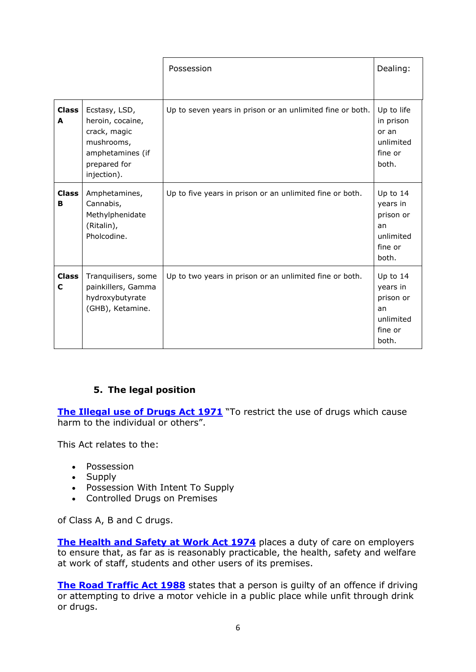|                   |                                                                                                                    | Possession                                                | Dealing:                                                                 |
|-------------------|--------------------------------------------------------------------------------------------------------------------|-----------------------------------------------------------|--------------------------------------------------------------------------|
| <b>Class</b><br>A | Ecstasy, LSD,<br>heroin, cocaine,<br>crack, magic<br>mushrooms,<br>amphetamines (if<br>prepared for<br>injection). | Up to seven years in prison or an unlimited fine or both. | Up to life<br>in prison<br>or an<br>unlimited<br>fine or<br>both.        |
| <b>Class</b><br>в | Amphetamines,<br>Cannabis,<br>Methylphenidate<br>(Ritalin),<br>Pholcodine.                                         | Up to five years in prison or an unlimited fine or both.  | Up to 14<br>years in<br>prison or<br>an<br>unlimited<br>fine or<br>both. |
| <b>Class</b><br>C | Tranquilisers, some<br>painkillers, Gamma<br>hydroxybutyrate<br>(GHB), Ketamine.                                   | Up to two years in prison or an unlimited fine or both.   | Up to 14<br>years in<br>prison or<br>an<br>unlimited<br>fine or<br>both. |

### **5. The legal position**

**The Illegal use [of Drugs Act 1971](http://www.legislation.gov.uk/ukpga/1971/38/contents)** "To restrict the use of drugs which cause harm to the individual or others".

This Act relates to the:

- Possession
- Supply
- Possession With Intent To Supply
- Controlled Drugs on Premises

of Class A, B and C drugs.

**[The Health and Safety at Work Act 1974](http://www.legislation.gov.uk/ukpga/1974/37)** places a duty of care on employers to ensure that, as far as is reasonably practicable, the health, safety and welfare at work of staff, students and other users of its premises.

**[The Road Traffic Act 1988](http://www.legislation.gov.uk/ukpga/1988/52/contents)** states that a person is guilty of an offence if driving or attempting to drive a motor vehicle in a public place while unfit through drink or drugs.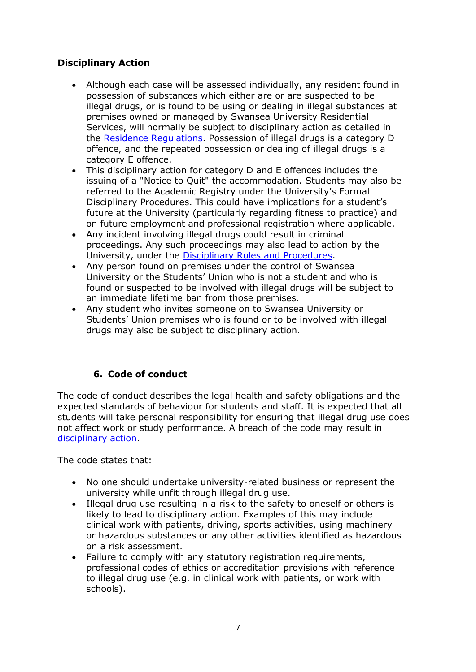### **Disciplinary Action**

- Although each case will be assessed individually, any resident found in possession of substances which either are or are suspected to be illegal drugs, or is found to be using or dealing in illegal substances at premises owned or managed by Swansea University Residential Services, will normally be subject to disciplinary action as detailed in the [Residence Regulations.](http://www.swansea.ac.uk/media/RS%20RESIDENCE%20REGULATIONS%202012-13.pdf) Possession of illegal drugs is a category D offence, and the repeated possession or dealing of illegal drugs is a category E offence.
- This disciplinary action for category D and E offences includes the issuing of a "Notice to Quit" the accommodation. Students may also be referred to the Academic Registry under the University's Formal Disciplinary Procedures. This could have implications for a student's future at the University (particularly regarding fitness to practice) and on future employment and professional registration where applicable.
- Any incident involving illegal drugs could result in criminal proceedings. Any such proceedings may also lead to action by the University, under the [Disciplinary Rules and Procedures.](http://www.swan.ac.uk/registry/academicguide/conductandcomplaints/disciplinaryprocedures/)
- Any person found on premises under the control of Swansea University or the Students' Union who is not a student and who is found or suspected to be involved with illegal drugs will be subject to an immediate lifetime ban from those premises.
- Any student who invites someone on to Swansea University or Students' Union premises who is found or to be involved with illegal drugs may also be subject to disciplinary action.

### **6. Code of conduct**

The code of conduct describes the legal health and safety obligations and the expected standards of behaviour for students and staff. It is expected that all students will take personal responsibility for ensuring that illegal drug use does not affect work or study performance. A breach of the code may result in [disciplinary action.](http://www.swan.ac.uk/registry/academicguide/conductandcomplaints/disciplinaryprocedures/)

The code states that:

- No one should undertake university-related business or represent the university while unfit through illegal drug use.
- Illegal drug use resulting in a risk to the safety to oneself or others is likely to lead to disciplinary action. Examples of this may include clinical work with patients, driving, sports activities, using machinery or hazardous substances or any other activities identified as hazardous on a risk assessment.
- Failure to comply with any statutory registration requirements, professional codes of ethics or accreditation provisions with reference to illegal drug use (e.g. in clinical work with patients, or work with schools).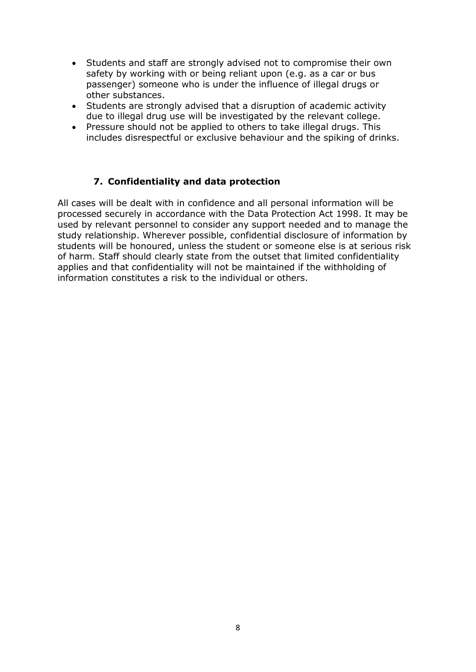- Students and staff are strongly advised not to compromise their own safety by working with or being reliant upon (e.g. as a car or bus passenger) someone who is under the influence of illegal drugs or other substances.
- Students are strongly advised that a disruption of academic activity due to illegal drug use will be investigated by the relevant college.
- Pressure should not be applied to others to take illegal drugs. This includes disrespectful or exclusive behaviour and the spiking of drinks.

### **7. Confidentiality and data protection**

All cases will be dealt with in confidence and all personal information will be processed securely in accordance with the Data Protection Act 1998. It may be used by relevant personnel to consider any support needed and to manage the study relationship. Wherever possible, confidential disclosure of information by students will be honoured, unless the student or someone else is at serious risk of harm. Staff should clearly state from the outset that limited confidentiality applies and that confidentiality will not be maintained if the withholding of information constitutes a risk to the individual or others.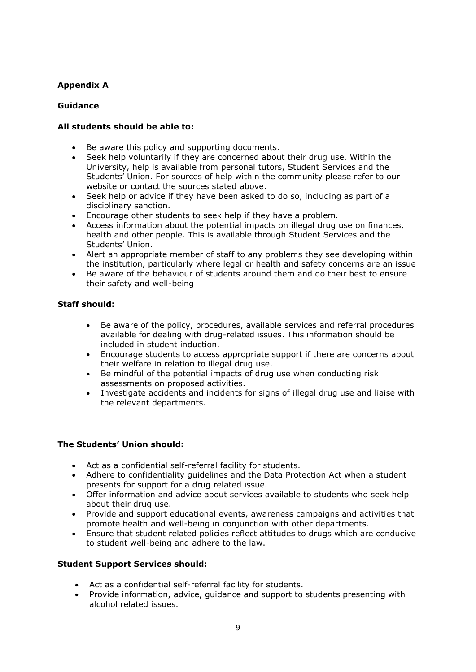#### **Appendix A**

#### **Guidance**

#### **All students should be able to:**

- Be aware this policy and supporting documents.
- Seek help voluntarily if they are concerned about their drug use. Within the University, help is available from personal tutors, Student Services and the Students' Union. For sources of help within the community please refer to our website or contact the sources stated above.
- Seek help or advice if they have been asked to do so, including as part of a disciplinary sanction.
- Encourage other students to seek help if they have a problem.
- Access information about the potential impacts on illegal drug use on finances, health and other people. This is available through Student Services and the Students' Union.
- Alert an appropriate member of staff to any problems they see developing within the institution, particularly where legal or health and safety concerns are an issue
- Be aware of the behaviour of students around them and do their best to ensure their safety and well-being

#### **Staff should:**

- Be aware of the policy, procedures, available services and referral procedures available for dealing with drug-related issues. This information should be included in student induction.
- Encourage students to access appropriate support if there are concerns about their welfare in relation to illegal drug use.
- Be mindful of the potential impacts of drug use when conducting risk assessments on proposed activities.
- Investigate accidents and incidents for signs of illegal drug use and liaise with the relevant departments.

#### **The Students' Union should:**

- Act as a confidential self-referral facility for students.
- Adhere to confidentiality guidelines and the Data Protection Act when a student presents for support for a drug related issue.
- Offer information and advice about services available to students who seek help about their drug use.
- Provide and support educational events, awareness campaigns and activities that promote health and well-being in conjunction with other departments.
- Ensure that student related policies reflect attitudes to drugs which are conducive to student well-being and adhere to the law.

#### **Student Support Services should:**

- Act as a confidential self-referral facility for students.
- Provide information, advice, guidance and support to students presenting with alcohol related issues.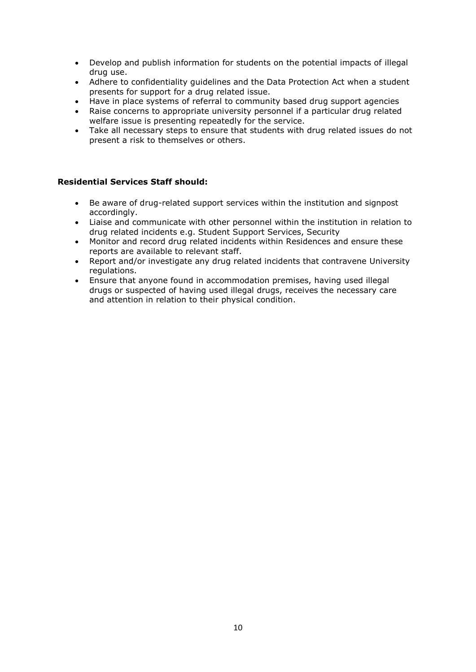- Develop and publish information for students on the potential impacts of illegal drug use.
- Adhere to confidentiality guidelines and the Data Protection Act when a student presents for support for a drug related issue.
- Have in place systems of referral to community based drug support agencies
- Raise concerns to appropriate university personnel if a particular drug related welfare issue is presenting repeatedly for the service.
- Take all necessary steps to ensure that students with drug related issues do not present a risk to themselves or others.

#### **Residential Services Staff should:**

- Be aware of drug-related support services within the institution and signpost accordingly.
- Liaise and communicate with other personnel within the institution in relation to drug related incidents e.g. Student Support Services, Security
- Monitor and record drug related incidents within Residences and ensure these reports are available to relevant staff.
- Report and/or investigate any drug related incidents that contravene University regulations.
- Ensure that anyone found in accommodation premises, having used illegal drugs or suspected of having used illegal drugs, receives the necessary care and attention in relation to their physical condition.